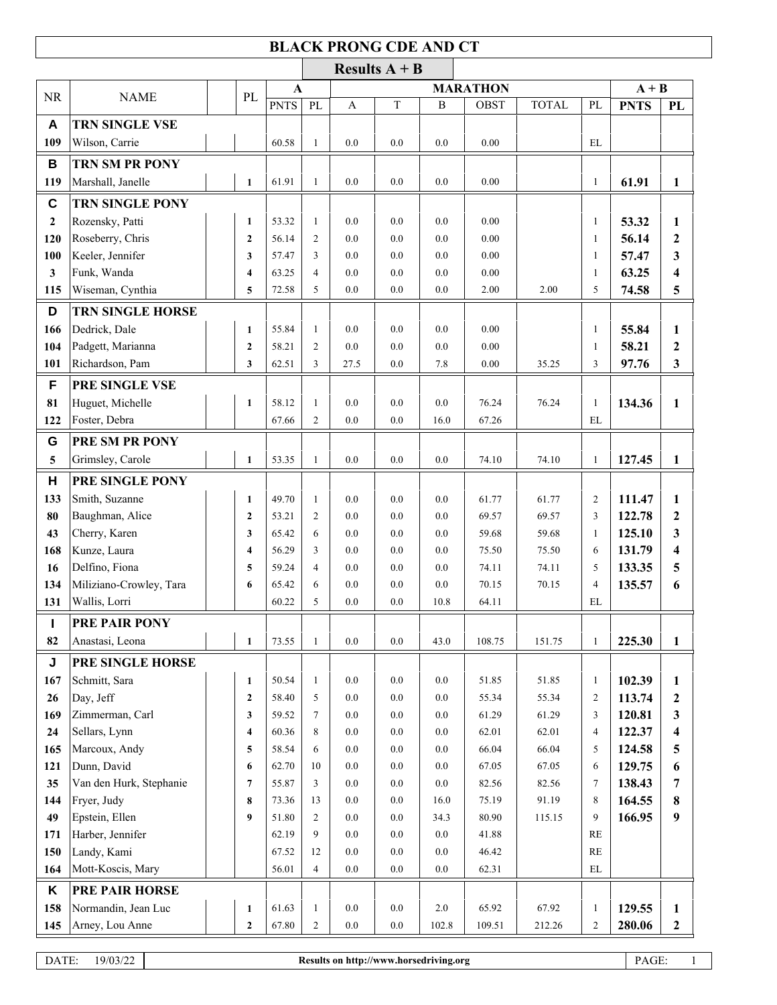## **BLACK PRONG CDE AND CT**

|              |                         |                                |                |                                 |              | Results $A + B$ |              |              |              |                          |                |                   |
|--------------|-------------------------|--------------------------------|----------------|---------------------------------|--------------|-----------------|--------------|--------------|--------------|--------------------------|----------------|-------------------|
|              |                         |                                |                | <b>MARATHON</b><br>$\mathbf{A}$ |              |                 |              |              |              |                          | $A + B$        |                   |
| <b>NR</b>    | <b>NAME</b>             | PL                             | <b>PNTS</b>    | $\mathbf{P}\mathbf{L}$          | $\mathbf{A}$ | $\mathbf T$     | $\, {\bf B}$ | <b>OBST</b>  | <b>TOTAL</b> | PL                       | <b>PNTS</b>    | PL                |
| A            | TRN SINGLE VSE          |                                |                |                                 |              |                 |              |              |              |                          |                |                   |
| 109          | Wilson, Carrie          |                                | 60.58          | $\mathbf{1}$                    | 0.0          | 0.0             | 0.0          | 0.00         |              | EL                       |                |                   |
| В            | TRN SM PR PONY          |                                |                |                                 |              |                 |              |              |              |                          |                |                   |
| 119          | Marshall, Janelle       | $\mathbf{1}$                   | 61.91          | $\mathbf{1}$                    | 0.0          | 0.0             | 0.0          | 0.00         |              | $\mathbf{1}$             | 61.91          | 1                 |
| $\mathbf c$  | <b>TRN SINGLE PONY</b>  |                                |                |                                 |              |                 |              |              |              |                          |                |                   |
| $\mathbf{2}$ | Rozensky, Patti         | $\mathbf{1}$                   | 53.32          | $\mathbf{1}$                    | 0.0          | 0.0             | 0.0          | 0.00         |              | $\mathbf{1}$             | 53.32          | 1                 |
| 120          | Roseberry, Chris        | $\overline{2}$                 | 56.14          | $\overline{2}$                  | 0.0          | 0.0             | 0.0          | 0.00         |              | $\mathbf{1}$             | 56.14          | $\mathbf{2}$      |
| 100          | Keeler, Jennifer        | 3                              | 57.47          | 3                               | 0.0          | 0.0             | 0.0          | 0.00         |              | $\mathbf{1}$             | 57.47          | 3                 |
| $\mathbf{3}$ | Funk, Wanda             | $\overline{\mathbf{4}}$        | 63.25          | $\overline{4}$                  | 0.0          | 0.0             | 0.0          | 0.00         |              | $\mathbf{1}$             | 63.25          | 4                 |
| 115          | Wiseman, Cynthia        | 5                              | 72.58          | 5                               | 0.0          | $0.0\,$         | 0.0          | 2.00         | 2.00         | 5                        | 74.58          | 5                 |
| D            | <b>TRN SINGLE HORSE</b> |                                |                |                                 |              |                 |              |              |              |                          |                |                   |
|              | Dedrick, Dale           |                                |                |                                 |              | 0.0             |              |              |              |                          |                |                   |
| 166          | Padgett, Marianna       | $\mathbf{1}$<br>$\overline{2}$ | 55.84<br>58.21 | $\mathbf{1}$<br>$\overline{2}$  | 0.0<br>0.0   | 0.0             | 0.0<br>0.0   | 0.00<br>0.00 |              | $\mathbf{1}$             | 55.84<br>58.21 | 1<br>$\mathbf{2}$ |
| 104<br>101   | Richardson, Pam         | 3                              | 62.51          | 3                               | 27.5         | 0.0             | 7.8          | 0.00         | 35.25        | 1<br>3                   | 97.76          | 3                 |
|              |                         |                                |                |                                 |              |                 |              |              |              |                          |                |                   |
| F            | PRE SINGLE VSE          |                                |                |                                 |              |                 |              |              |              |                          |                |                   |
| 81           | Huguet, Michelle        | $\mathbf{1}$                   | 58.12          | $\mathbf{1}$                    | 0.0          | 0.0             | 0.0          | 76.24        | 76.24        | $\mathbf{1}$             | 134.36         | $\mathbf{1}$      |
| 122          | Foster, Debra           |                                | 67.66          | $\overline{c}$                  | 0.0          | 0.0             | 16.0         | 67.26        |              | EL                       |                |                   |
| G            | PRE SM PR PONY          |                                |                |                                 |              |                 |              |              |              |                          |                |                   |
| 5            | Grimsley, Carole        | $\mathbf{1}$                   | 53.35          | $\mathbf{1}$                    | 0.0          | 0.0             | 0.0          | 74.10        | 74.10        | $\mathbf{1}$             | 127.45         | $\mathbf{1}$      |
| Н            | PRE SINGLE PONY         |                                |                |                                 |              |                 |              |              |              |                          |                |                   |
| 133          | Smith, Suzanne          | $\mathbf{1}$                   | 49.70          | $\mathbf{1}$                    | 0.0          | 0.0             | 0.0          | 61.77        | 61.77        | 2                        | 111.47         | 1                 |
| 80           | Baughman, Alice         | $\mathbf{2}$                   | 53.21          | 2                               | 0.0          | 0.0             | 0.0          | 69.57        | 69.57        | 3                        | 122.78         | $\boldsymbol{2}$  |
| 43           | Cherry, Karen           | 3                              | 65.42          | 6                               | 0.0          | 0.0             | 0.0          | 59.68        | 59.68        | 1                        | 125.10         | 3                 |
| 168          | Kunze, Laura            | $\overline{\mathbf{4}}$        | 56.29          | 3                               | 0.0          | 0.0             | 0.0          | 75.50        | 75.50        | 6                        | 131.79         | 4                 |
| 16           | Delfino, Fiona          | 5                              | 59.24          | $\overline{4}$                  | 0.0          | 0.0             | 0.0          | 74.11        | 74.11        | 5                        | 133.35         | 5                 |
| 134          | Miliziano-Crowley, Tara | 6                              | 65.42          | 6                               | 0.0          | 0.0             | 0.0          | 70.15        | 70.15        | $\overline{4}$           | 135.57         | 6                 |
| 131          | Wallis, Lorri           |                                | 60.22          | 5                               | 0.0          | $0.0\,$         | 10.8         | 64.11        |              | EL                       |                |                   |
| L            | <b>PRE PAIR PONY</b>    |                                |                |                                 |              |                 |              |              |              |                          |                |                   |
| 82           | Anastasi, Leona         | $\mathbf{1}$                   | 73.55          | $\mathbf{1}$                    | $0.0\,$      | $0.0\,$         | 43.0         | 108.75       | 151.75       | $\mathbf{1}$             | 225.30         | $\mathbf{1}$      |
| J            | PRE SINGLE HORSE        |                                |                |                                 |              |                 |              |              |              |                          |                |                   |
| 167          | Schmitt, Sara           | $\mathbf{1}$                   | 50.54          | 1                               | 0.0          | $0.0\,$         | 0.0          | 51.85        | 51.85        | 1                        | 102.39         | 1                 |
| 26           | Day, Jeff               | $\boldsymbol{2}$               | 58.40          | 5                               | 0.0          | 0.0             | 0.0          | 55.34        | 55.34        | $\overline{c}$           | 113.74         | $\boldsymbol{2}$  |
| 169          | Zimmerman, Carl         | 3                              | 59.52          | $\tau$                          | 0.0          | 0.0             | 0.0          | 61.29        | 61.29        | 3                        | 120.81         | 3                 |
| 24           | Sellars, Lynn           | $\overline{\mathbf{4}}$        | 60.36          | 8                               | 0.0          | 0.0             | 0.0          | 62.01        | 62.01        | 4                        | 122.37         | 4                 |
| 165          | Marcoux, Andy           | 5                              | 58.54          | 6                               | $0.0\,$      | $0.0\,$         | $0.0\,$      | 66.04        | 66.04        | 5                        | 124.58         | 5                 |
| 121          | Dunn, David             | 6                              | 62.70          | 10                              | 0.0          | 0.0             | 0.0          | 67.05        | 67.05        | 6                        | 129.75         | 6                 |
| 35           | Van den Hurk, Stephanie | $\overline{7}$                 | 55.87          | 3                               | 0.0          | $0.0\,$         | $0.0\,$      | 82.56        | 82.56        | $\tau$                   | 138.43         | 7                 |
| 144          | Fryer, Judy             | 8                              | 73.36          | 13                              | 0.0          | 0.0             | 16.0         | 75.19        | 91.19        | 8                        | 164.55         | 8                 |
| 49           | Epstein, Ellen          | 9                              | 51.80          | $\overline{c}$                  | 0.0          | $0.0\,$         | 34.3         | 80.90        | 115.15       | 9                        | 166.95         | 9                 |
| 171          | Harber, Jennifer        |                                | 62.19          | 9                               | 0.0          | 0.0             | 0.0          | 41.88        |              | RE                       |                |                   |
| 150          | Landy, Kami             |                                | 67.52          | 12                              | $0.0\,$      | $0.0\,$         | $0.0\,$      | 46.42        |              | RE                       |                |                   |
| 164          | Mott-Koscis, Mary       |                                | 56.01          | $\overline{4}$                  | 0.0          | $0.0\,$         | 0.0          | 62.31        |              | $\mathop{\hbox{\rm EL}}$ |                |                   |
| K            | PRE PAIR HORSE          |                                |                |                                 |              |                 |              |              |              |                          |                |                   |
| 158          | Normandin, Jean Luc     | $\mathbf{1}$                   | 61.63          | 1                               | 0.0          | $0.0\,$         | 2.0          | 65.92        | 67.92        | $\mathbf{1}$             | 129.55         | $\mathbf{1}$      |
| 145          | Arney, Lou Anne         | $\boldsymbol{2}$               | 67.80          | 2                               | $0.0\,$      | $0.0\,$         | 102.8        | 109.51       | 212.26       | 2                        | 280.06         | $\boldsymbol{2}$  |
|              |                         |                                |                |                                 |              |                 |              |              |              |                          |                |                   |